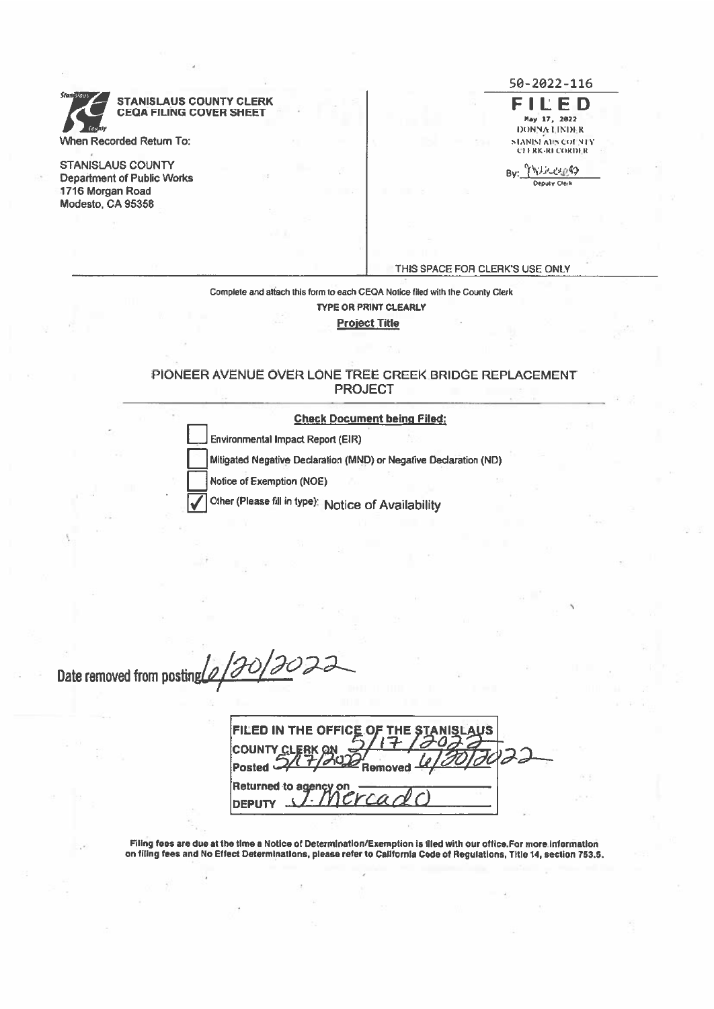**STANISLAUS COUNTY CLERK** STANISLAUS COUNTY CLERK<br>CEQA FILING COVER SHEET FOR THE HAY 17, 2022<br>DONNA LINDER When Recorded Return To: SIANISI AT's COINTY AT STANDARD STANDARD STANDARD STANDARD STANDARD STANDARD STANDARD STANDARD STANDARD STANDARD STANDARD STANDARD STANDARD STANDARD STANDARD STANDARD STANDARD STANDARD STANDARD STA <sup>B</sup> \_\_\_\_\_\_\_\_\_\_\_\_ Department of Public Works Deputy CIe,k

STANISLAUS COUNTY 1716 Morgan Road Modesto, CA 95356

50-2022-116

CI ERK-RI CORDER

THIS SPACE FOR CLERK'S USE ONLY

Complete and attach Ihis form to each GEQA Notice filed with the County Clerk TYPE OR PRINT CLEARLY Project Title

#### PIONEER AVENUE OVER LONE TREE CREEK BRIDGE REPLACEMENT **PROJECT**

## Check Document being Filed:<br>
Environmental Impact Report (EIR)

Mitigated Negative Declaration (MND) or Negative Declaration (ND)

Notice of Exemption (NOE)

Other (Please fill in type): Notice of Availability

STANISLAUS COUNTY CLERK<br>
VMen Recorded Rehum To:<br>
STANISLAUS COUNTY<br>
DEPARTENT OF REMOVER<br>
Depertment of Public Works<br>
Tris SPACE FOR CL<br>
Depertment of Public Works<br>
Modesto, CA 95358<br>
DEPARTENT COUNTER AVENUE OVER LONE TR

| FILED IN THE OFFICE OF THE STANISLAUS<br><b>COUNTY CLER</b> |  |
|-------------------------------------------------------------|--|
| Posted<br>Femoved ·                                         |  |
| Returned to agency on<br>ercado                             |  |
| <b>IDEPUTY</b>                                              |  |

Filing fees are due at the time <sup>a</sup> Notice of Determination/Exemption is filed with our oftice.For moreinformatlon on filing fees and No Effect Determinations, <sup>p</sup>lease refer to California Code of Regulatians, TItle 14, section T53.5.